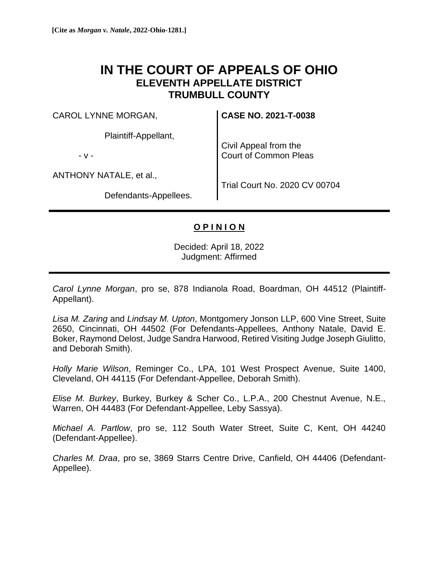# **IN THE COURT OF APPEALS OF OHIO ELEVENTH APPELLATE DISTRICT TRUMBULL COUNTY**

CAROL LYNNE MORGAN,

Plaintiff-Appellant,

- v -

ANTHONY NATALE, et al.,

Defendants-Appellees.

**CASE NO. 2021-T-0038**

Civil Appeal from the Court of Common Pleas

Trial Court No. 2020 CV 00704

## **O P I N I O N**

Decided: April 18, 2022 Judgment: Affirmed

*Carol Lynne Morgan*, pro se, 878 Indianola Road, Boardman, OH 44512 (Plaintiff-Appellant).

*Lisa M. Zaring* and *Lindsay M. Upton*, Montgomery Jonson LLP, 600 Vine Street, Suite 2650, Cincinnati, OH 44502 (For Defendants-Appellees, Anthony Natale, David E. Boker, Raymond Delost, Judge Sandra Harwood, Retired Visiting Judge Joseph Giulitto, and Deborah Smith).

*Holly Marie Wilson*, Reminger Co., LPA, 101 West Prospect Avenue, Suite 1400, Cleveland, OH 44115 (For Defendant-Appellee, Deborah Smith).

*Elise M. Burkey*, Burkey, Burkey & Scher Co., L.P.A., 200 Chestnut Avenue, N.E., Warren, OH 44483 (For Defendant-Appellee, Leby Sassya).

*Michael A. Partlow*, pro se, 112 South Water Street, Suite C, Kent, OH 44240 (Defendant-Appellee).

*Charles M. Draa*, pro se, 3869 Starrs Centre Drive, Canfield, OH 44406 (Defendant-Appellee).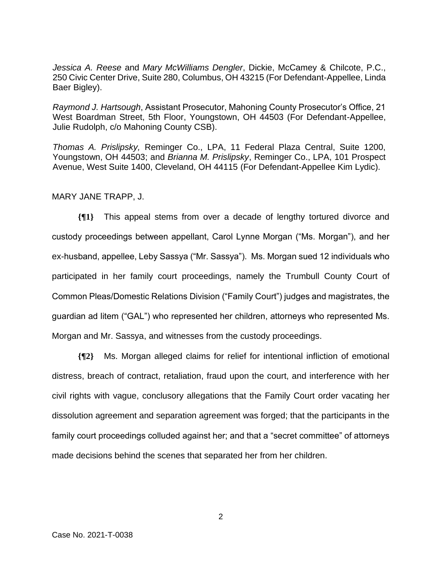*Jessica A. Reese* and *Mary McWilliams Dengler*, Dickie, McCamey & Chilcote, P.C., 250 Civic Center Drive, Suite 280, Columbus, OH 43215 (For Defendant-Appellee, Linda Baer Bigley).

*Raymond J. Hartsough*, Assistant Prosecutor, Mahoning County Prosecutor's Office, 21 West Boardman Street, 5th Floor, Youngstown, OH 44503 (For Defendant-Appellee, Julie Rudolph, c/o Mahoning County CSB).

*Thomas A. Prislipsky,* Reminger Co., LPA, 11 Federal Plaza Central, Suite 1200, Youngstown, OH 44503; and *Brianna M. Prislipsky*, Reminger Co., LPA, 101 Prospect Avenue, West Suite 1400, Cleveland, OH 44115 (For Defendant-Appellee Kim Lydic).

#### MARY JANE TRAPP, J.

**{¶1}** This appeal stems from over a decade of lengthy tortured divorce and custody proceedings between appellant, Carol Lynne Morgan ("Ms. Morgan"), and her ex-husband, appellee, Leby Sassya ("Mr. Sassya"). Ms. Morgan sued 12 individuals who participated in her family court proceedings, namely the Trumbull County Court of Common Pleas/Domestic Relations Division ("Family Court") judges and magistrates, the guardian ad litem ("GAL") who represented her children, attorneys who represented Ms. Morgan and Mr. Sassya, and witnesses from the custody proceedings.

**{¶2}** Ms. Morgan alleged claims for relief for intentional infliction of emotional distress, breach of contract, retaliation, fraud upon the court, and interference with her civil rights with vague, conclusory allegations that the Family Court order vacating her dissolution agreement and separation agreement was forged; that the participants in the family court proceedings colluded against her; and that a "secret committee" of attorneys made decisions behind the scenes that separated her from her children.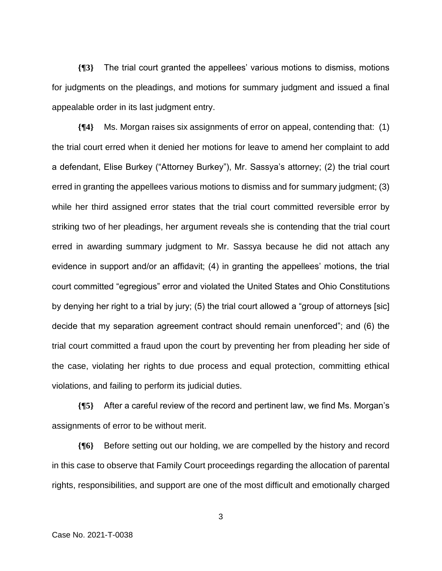**{¶3}** The trial court granted the appellees' various motions to dismiss, motions for judgments on the pleadings, and motions for summary judgment and issued a final appealable order in its last judgment entry.

**{¶4}** Ms. Morgan raises six assignments of error on appeal, contending that: (1) the trial court erred when it denied her motions for leave to amend her complaint to add a defendant, Elise Burkey ("Attorney Burkey"), Mr. Sassya's attorney; (2) the trial court erred in granting the appellees various motions to dismiss and for summary judgment; (3) while her third assigned error states that the trial court committed reversible error by striking two of her pleadings, her argument reveals she is contending that the trial court erred in awarding summary judgment to Mr. Sassya because he did not attach any evidence in support and/or an affidavit; (4) in granting the appellees' motions, the trial court committed "egregious" error and violated the United States and Ohio Constitutions by denying her right to a trial by jury; (5) the trial court allowed a "group of attorneys [sic] decide that my separation agreement contract should remain unenforced"; and (6) the trial court committed a fraud upon the court by preventing her from pleading her side of the case, violating her rights to due process and equal protection, committing ethical violations, and failing to perform its judicial duties.

**{¶5}** After a careful review of the record and pertinent law, we find Ms. Morgan's assignments of error to be without merit.

**{¶6}** Before setting out our holding, we are compelled by the history and record in this case to observe that Family Court proceedings regarding the allocation of parental rights, responsibilities, and support are one of the most difficult and emotionally charged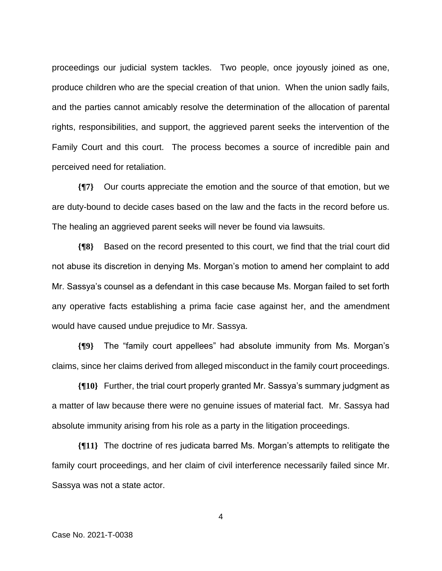proceedings our judicial system tackles. Two people, once joyously joined as one, produce children who are the special creation of that union. When the union sadly fails, and the parties cannot amicably resolve the determination of the allocation of parental rights, responsibilities, and support, the aggrieved parent seeks the intervention of the Family Court and this court. The process becomes a source of incredible pain and perceived need for retaliation.

**{¶7}** Our courts appreciate the emotion and the source of that emotion, but we are duty-bound to decide cases based on the law and the facts in the record before us. The healing an aggrieved parent seeks will never be found via lawsuits.

**{¶8}** Based on the record presented to this court, we find that the trial court did not abuse its discretion in denying Ms. Morgan's motion to amend her complaint to add Mr. Sassya's counsel as a defendant in this case because Ms. Morgan failed to set forth any operative facts establishing a prima facie case against her, and the amendment would have caused undue prejudice to Mr. Sassya.

**{¶9}** The "family court appellees" had absolute immunity from Ms. Morgan's claims, since her claims derived from alleged misconduct in the family court proceedings.

**{¶10}** Further, the trial court properly granted Mr. Sassya's summary judgment as a matter of law because there were no genuine issues of material fact. Mr. Sassya had absolute immunity arising from his role as a party in the litigation proceedings.

**{¶11}** The doctrine of res judicata barred Ms. Morgan's attempts to relitigate the family court proceedings, and her claim of civil interference necessarily failed since Mr. Sassya was not a state actor.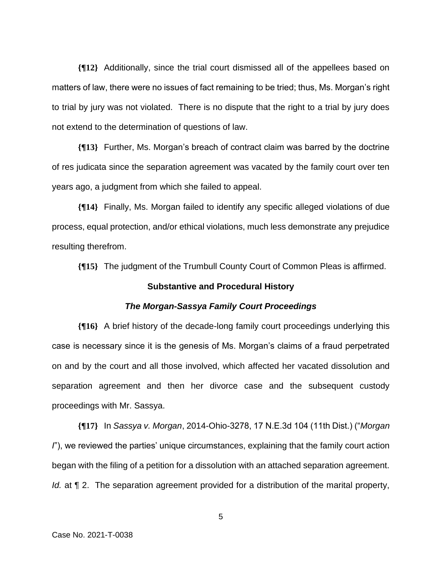**{¶12}** Additionally, since the trial court dismissed all of the appellees based on matters of law, there were no issues of fact remaining to be tried; thus, Ms. Morgan's right to trial by jury was not violated. There is no dispute that the right to a trial by jury does not extend to the determination of questions of law.

**{¶13}** Further, Ms. Morgan's breach of contract claim was barred by the doctrine of res judicata since the separation agreement was vacated by the family court over ten years ago, a judgment from which she failed to appeal.

**{¶14}** Finally, Ms. Morgan failed to identify any specific alleged violations of due process, equal protection, and/or ethical violations, much less demonstrate any prejudice resulting therefrom.

**{¶15}** The judgment of the Trumbull County Court of Common Pleas is affirmed.

## **Substantive and Procedural History**

#### *The Morgan-Sassya Family Court Proceedings*

**{¶16}** A brief history of the decade-long family court proceedings underlying this case is necessary since it is the genesis of Ms. Morgan's claims of a fraud perpetrated on and by the court and all those involved, which affected her vacated dissolution and separation agreement and then her divorce case and the subsequent custody proceedings with Mr. Sassya.

**{¶17}** In *Sassya v. Morgan*, 2014-Ohio-3278, 17 N.E.3d 104 (11th Dist.) ("*Morgan I*"), we reviewed the parties' unique circumstances, explaining that the family court action began with the filing of a petition for a dissolution with an attached separation agreement. *Id.* at  $\P$  2. The separation agreement provided for a distribution of the marital property,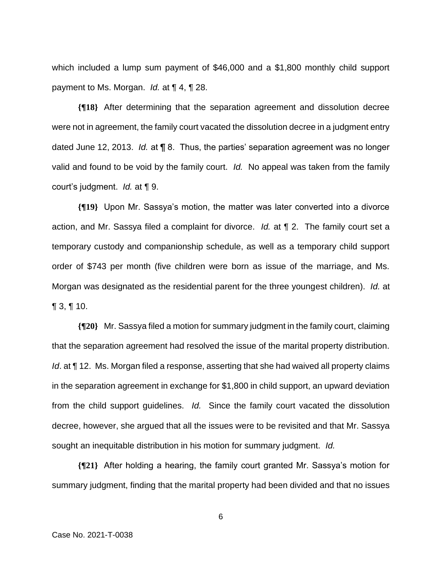which included a lump sum payment of \$46,000 and a \$1,800 monthly child support payment to Ms. Morgan. *Id.* at ¶ 4, ¶ 28.

**{¶18}** After determining that the separation agreement and dissolution decree were not in agreement, the family court vacated the dissolution decree in a judgment entry dated June 12, 2013. *Id.* at ¶ 8. Thus, the parties' separation agreement was no longer valid and found to be void by the family court. *Id.* No appeal was taken from the family court's judgment. *Id.* at ¶ 9.

**{¶19}** Upon Mr. Sassya's motion, the matter was later converted into a divorce action, and Mr. Sassya filed a complaint for divorce. *Id.* at ¶ 2. The family court set a temporary custody and companionship schedule, as well as a temporary child support order of \$743 per month (five children were born as issue of the marriage, and Ms. Morgan was designated as the residential parent for the three youngest children). *Id.* at  $\P$  3,  $\P$  10.

**{¶20}** Mr. Sassya filed a motion for summary judgment in the family court, claiming that the separation agreement had resolved the issue of the marital property distribution. *Id.* at ¶ 12. Ms. Morgan filed a response, asserting that she had waived all property claims in the separation agreement in exchange for \$1,800 in child support, an upward deviation from the child support guidelines. *Id.* Since the family court vacated the dissolution decree, however, she argued that all the issues were to be revisited and that Mr. Sassya sought an inequitable distribution in his motion for summary judgment. *Id.*

**{¶21}** After holding a hearing, the family court granted Mr. Sassya's motion for summary judgment, finding that the marital property had been divided and that no issues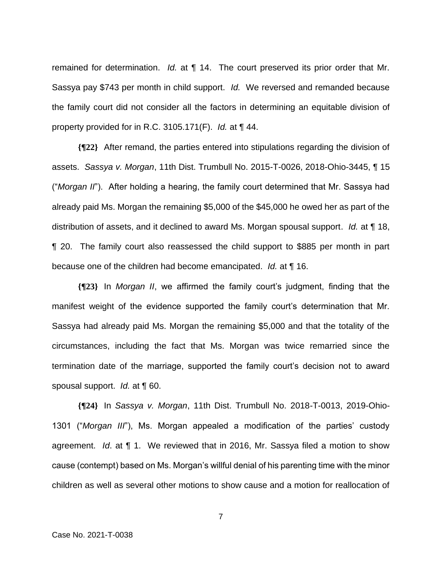remained for determination. *Id.* at **[14.** The court preserved its prior order that Mr. Sassya pay \$743 per month in child support. *Id.* We reversed and remanded because the family court did not consider all the factors in determining an equitable division of property provided for in R.C. 3105.171(F). *Id.* at ¶ 44.

**{¶22}** After remand, the parties entered into stipulations regarding the division of assets. *Sassya v. Morgan*, 11th Dist. Trumbull No. 2015-T-0026, 2018-Ohio-3445, ¶ 15 ("*Morgan II*"). After holding a hearing, the family court determined that Mr. Sassya had already paid Ms. Morgan the remaining \$5,000 of the \$45,000 he owed her as part of the distribution of assets, and it declined to award Ms. Morgan spousal support. *Id.* at ¶ 18, ¶ 20. The family court also reassessed the child support to \$885 per month in part because one of the children had become emancipated. *Id.* at ¶ 16.

**{¶23}** In *Morgan II*, we affirmed the family court's judgment, finding that the manifest weight of the evidence supported the family court's determination that Mr. Sassya had already paid Ms. Morgan the remaining \$5,000 and that the totality of the circumstances, including the fact that Ms. Morgan was twice remarried since the termination date of the marriage, supported the family court's decision not to award spousal support. *Id.* at ¶ 60.

**{¶24}** In *Sassya v. Morgan*, 11th Dist. Trumbull No. 2018-T-0013, 2019-Ohio-1301 ("*Morgan III*"), Ms. Morgan appealed a modification of the parties' custody agreement. *Id*. at ¶ 1. We reviewed that in 2016, Mr. Sassya filed a motion to show cause (contempt) based on Ms. Morgan's willful denial of his parenting time with the minor children as well as several other motions to show cause and a motion for reallocation of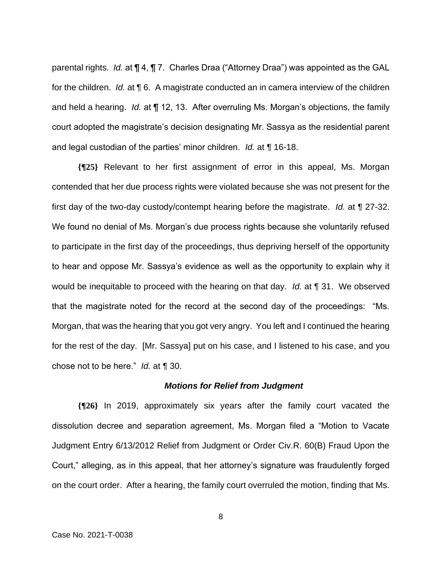parental rights. *Id.* at ¶ 4, ¶ 7. Charles Draa ("Attorney Draa") was appointed as the GAL for the children. *Id.* at **16**. A magistrate conducted an in camera interview of the children and held a hearing. *Id.* at ¶ 12, 13. After overruling Ms. Morgan's objections, the family court adopted the magistrate's decision designating Mr. Sassya as the residential parent and legal custodian of the parties' minor children. *Id.* at ¶ 16-18.

**{¶25}** Relevant to her first assignment of error in this appeal, Ms. Morgan contended that her due process rights were violated because she was not present for the first day of the two-day custody/contempt hearing before the magistrate. *Id.* at ¶ 27-32. We found no denial of Ms. Morgan's due process rights because she voluntarily refused to participate in the first day of the proceedings, thus depriving herself of the opportunity to hear and oppose Mr. Sassya's evidence as well as the opportunity to explain why it would be inequitable to proceed with the hearing on that day. *Id.* at ¶ 31. We observed that the magistrate noted for the record at the second day of the proceedings: "Ms. Morgan, that was the hearing that you got very angry. You left and I continued the hearing for the rest of the day. [Mr. Sassya] put on his case, and I listened to his case, and you chose not to be here." *Id.* at ¶ 30.

### *Motions for Relief from Judgment*

**{¶26}** In 2019, approximately six years after the family court vacated the dissolution decree and separation agreement, Ms. Morgan filed a "Motion to Vacate Judgment Entry 6/13/2012 Relief from Judgment or Order Civ.R. 60(B) Fraud Upon the Court," alleging, as in this appeal, that her attorney's signature was fraudulently forged on the court order. After a hearing, the family court overruled the motion, finding that Ms.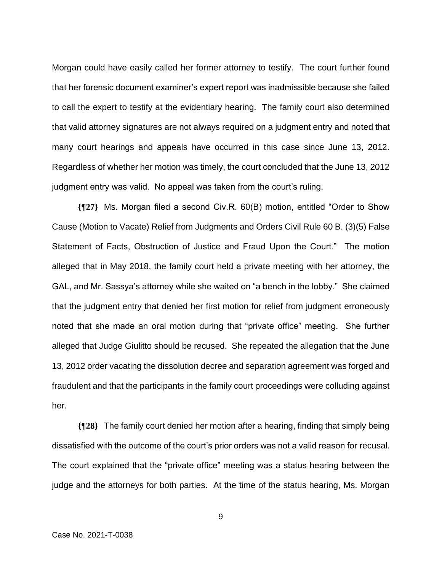Morgan could have easily called her former attorney to testify. The court further found that her forensic document examiner's expert report was inadmissible because she failed to call the expert to testify at the evidentiary hearing. The family court also determined that valid attorney signatures are not always required on a judgment entry and noted that many court hearings and appeals have occurred in this case since June 13, 2012. Regardless of whether her motion was timely, the court concluded that the June 13, 2012 judgment entry was valid. No appeal was taken from the court's ruling.

**{¶27}** Ms. Morgan filed a second Civ.R. 60(B) motion, entitled "Order to Show Cause (Motion to Vacate) Relief from Judgments and Orders Civil Rule 60 B. (3)(5) False Statement of Facts, Obstruction of Justice and Fraud Upon the Court." The motion alleged that in May 2018, the family court held a private meeting with her attorney, the GAL, and Mr. Sassya's attorney while she waited on "a bench in the lobby." She claimed that the judgment entry that denied her first motion for relief from judgment erroneously noted that she made an oral motion during that "private office" meeting. She further alleged that Judge Giulitto should be recused. She repeated the allegation that the June 13, 2012 order vacating the dissolution decree and separation agreement was forged and fraudulent and that the participants in the family court proceedings were colluding against her.

**{¶28}** The family court denied her motion after a hearing, finding that simply being dissatisfied with the outcome of the court's prior orders was not a valid reason for recusal. The court explained that the "private office" meeting was a status hearing between the judge and the attorneys for both parties. At the time of the status hearing, Ms. Morgan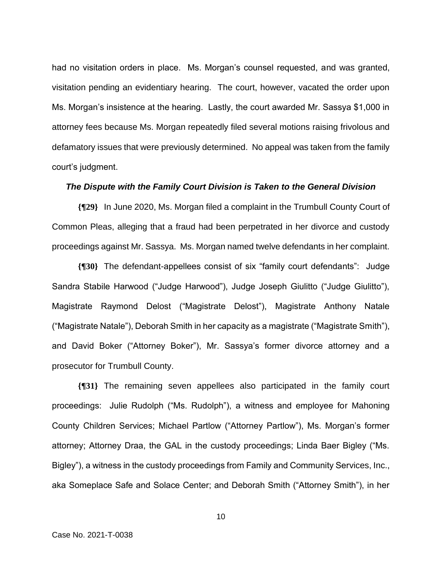had no visitation orders in place. Ms. Morgan's counsel requested, and was granted, visitation pending an evidentiary hearing. The court, however, vacated the order upon Ms. Morgan's insistence at the hearing. Lastly, the court awarded Mr. Sassya \$1,000 in attorney fees because Ms. Morgan repeatedly filed several motions raising frivolous and defamatory issues that were previously determined. No appeal was taken from the family court's judgment.

### *The Dispute with the Family Court Division is Taken to the General Division*

**{¶29}** In June 2020, Ms. Morgan filed a complaint in the Trumbull County Court of Common Pleas, alleging that a fraud had been perpetrated in her divorce and custody proceedings against Mr. Sassya. Ms. Morgan named twelve defendants in her complaint.

**{¶30}** The defendant-appellees consist of six "family court defendants": Judge Sandra Stabile Harwood ("Judge Harwood"), Judge Joseph Giulitto ("Judge Giulitto"), Magistrate Raymond Delost ("Magistrate Delost"), Magistrate Anthony Natale ("Magistrate Natale"), Deborah Smith in her capacity as a magistrate ("Magistrate Smith"), and David Boker ("Attorney Boker"), Mr. Sassya's former divorce attorney and a prosecutor for Trumbull County.

**{¶31}** The remaining seven appellees also participated in the family court proceedings: Julie Rudolph ("Ms. Rudolph"), a witness and employee for Mahoning County Children Services; Michael Partlow ("Attorney Partlow"), Ms. Morgan's former attorney; Attorney Draa, the GAL in the custody proceedings; Linda Baer Bigley ("Ms. Bigley"), a witness in the custody proceedings from Family and Community Services, Inc., aka Someplace Safe and Solace Center; and Deborah Smith ("Attorney Smith"), in her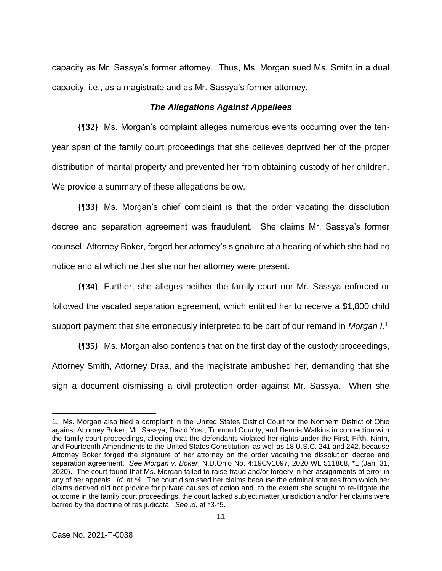capacity as Mr. Sassya's former attorney. Thus, Ms. Morgan sued Ms. Smith in a dual capacity, i.e., as a magistrate and as Mr. Sassya's former attorney.

## *The Allegations Against Appellees*

**{¶32}** Ms. Morgan's complaint alleges numerous events occurring over the tenyear span of the family court proceedings that she believes deprived her of the proper distribution of marital property and prevented her from obtaining custody of her children. We provide a summary of these allegations below.

**{¶33}** Ms. Morgan's chief complaint is that the order vacating the dissolution decree and separation agreement was fraudulent. She claims Mr. Sassya's former counsel, Attorney Boker, forged her attorney's signature at a hearing of which she had no notice and at which neither she nor her attorney were present.

**{¶34}** Further, she alleges neither the family court nor Mr. Sassya enforced or followed the vacated separation agreement, which entitled her to receive a \$1,800 child support payment that she erroneously interpreted to be part of our remand in *Morgan I*. 1

**{¶35}** Ms. Morgan also contends that on the first day of the custody proceedings, Attorney Smith, Attorney Draa, and the magistrate ambushed her, demanding that she sign a document dismissing a civil protection order against Mr. Sassya. When she

<sup>1.</sup> Ms. Morgan also filed a complaint in the United States District Court for the Northern District of Ohio against Attorney Boker, Mr. Sassya, David Yost, Trumbull County, and Dennis Watkins in connection with the family court proceedings, alleging that the defendants violated her rights under the First, Fifth, Ninth, and Fourteenth Amendments to the United States Constitution, as well as 18 U.S.C. 241 and 242, because Attorney Boker forged the signature of her attorney on the order vacating the dissolution decree and separation agreement. *See Morgan v. Boker*, N.D.Ohio No. 4:19CV1097, 2020 WL 511868, \*1 (Jan. 31, 2020). The court found that Ms. Morgan failed to raise fraud and/or forgery in her assignments of error in any of her appeals. *Id*. at \*4. The court dismissed her claims because the criminal statutes from which her claims derived did not provide for private causes of action and, to the extent she sought to re-litigate the outcome in the family court proceedings, the court lacked subject matter jurisdiction and/or her claims were barred by the doctrine of res judicata. *See id.* at \*3-\*5.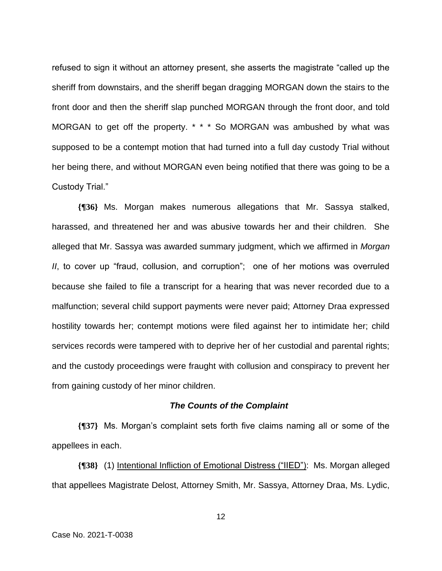refused to sign it without an attorney present, she asserts the magistrate "called up the sheriff from downstairs, and the sheriff began dragging MORGAN down the stairs to the front door and then the sheriff slap punched MORGAN through the front door, and told MORGAN to get off the property. \* \* \* So MORGAN was ambushed by what was supposed to be a contempt motion that had turned into a full day custody Trial without her being there, and without MORGAN even being notified that there was going to be a Custody Trial."

**{¶36}** Ms. Morgan makes numerous allegations that Mr. Sassya stalked, harassed, and threatened her and was abusive towards her and their children. She alleged that Mr. Sassya was awarded summary judgment, which we affirmed in *Morgan II*, to cover up "fraud, collusion, and corruption"; one of her motions was overruled because she failed to file a transcript for a hearing that was never recorded due to a malfunction; several child support payments were never paid; Attorney Draa expressed hostility towards her; contempt motions were filed against her to intimidate her; child services records were tampered with to deprive her of her custodial and parental rights; and the custody proceedings were fraught with collusion and conspiracy to prevent her from gaining custody of her minor children.

#### *The Counts of the Complaint*

**{¶37}** Ms. Morgan's complaint sets forth five claims naming all or some of the appellees in each.

**{¶38}** (1) Intentional Infliction of Emotional Distress ("IIED"): Ms. Morgan alleged that appellees Magistrate Delost, Attorney Smith, Mr. Sassya, Attorney Draa, Ms. Lydic,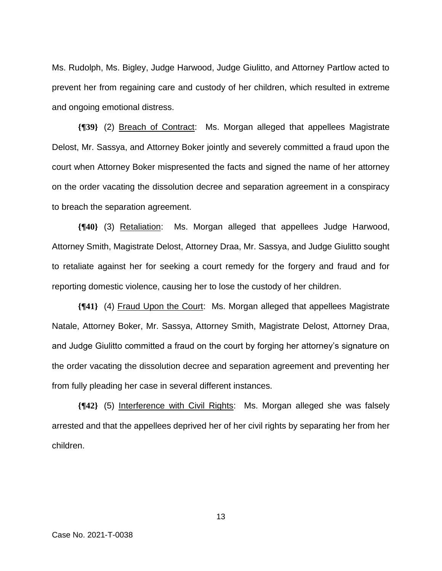Ms. Rudolph, Ms. Bigley, Judge Harwood, Judge Giulitto, and Attorney Partlow acted to prevent her from regaining care and custody of her children, which resulted in extreme and ongoing emotional distress.

**{¶39}** (2) Breach of Contract: Ms. Morgan alleged that appellees Magistrate Delost, Mr. Sassya, and Attorney Boker jointly and severely committed a fraud upon the court when Attorney Boker mispresented the facts and signed the name of her attorney on the order vacating the dissolution decree and separation agreement in a conspiracy to breach the separation agreement.

**{¶40}** (3) Retaliation: Ms. Morgan alleged that appellees Judge Harwood, Attorney Smith, Magistrate Delost, Attorney Draa, Mr. Sassya, and Judge Giulitto sought to retaliate against her for seeking a court remedy for the forgery and fraud and for reporting domestic violence, causing her to lose the custody of her children.

**{¶41}** (4) Fraud Upon the Court: Ms. Morgan alleged that appellees Magistrate Natale, Attorney Boker, Mr. Sassya, Attorney Smith, Magistrate Delost, Attorney Draa, and Judge Giulitto committed a fraud on the court by forging her attorney's signature on the order vacating the dissolution decree and separation agreement and preventing her from fully pleading her case in several different instances.

**{¶42}** (5) Interference with Civil Rights: Ms. Morgan alleged she was falsely arrested and that the appellees deprived her of her civil rights by separating her from her children.

Case No. 2021-T-0038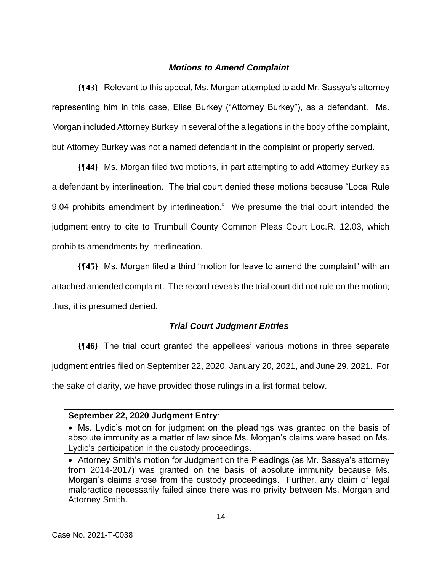## *Motions to Amend Complaint*

**{¶43}** Relevant to this appeal, Ms. Morgan attempted to add Mr. Sassya's attorney representing him in this case, Elise Burkey ("Attorney Burkey"), as a defendant. Ms. Morgan included Attorney Burkey in several of the allegations in the body of the complaint, but Attorney Burkey was not a named defendant in the complaint or properly served.

**{¶44}** Ms. Morgan filed two motions, in part attempting to add Attorney Burkey as a defendant by interlineation. The trial court denied these motions because "Local Rule 9.04 prohibits amendment by interlineation." We presume the trial court intended the judgment entry to cite to Trumbull County Common Pleas Court Loc.R. 12.03, which prohibits amendments by interlineation.

**{¶45}** Ms. Morgan filed a third "motion for leave to amend the complaint" with an attached amended complaint. The record reveals the trial court did not rule on the motion; thus, it is presumed denied.

## *Trial Court Judgment Entries*

**{¶46}** The trial court granted the appellees' various motions in three separate judgment entries filed on September 22, 2020, January 20, 2021, and June 29, 2021. For the sake of clarity, we have provided those rulings in a list format below.

## **September 22, 2020 Judgment Entry**:

<sup>•</sup> Ms. Lydic's motion for judgment on the pleadings was granted on the basis of absolute immunity as a matter of law since Ms. Morgan's claims were based on Ms. Lydic's participation in the custody proceedings.

<sup>•</sup> Attorney Smith's motion for Judgment on the Pleadings (as Mr. Sassya's attorney from 2014-2017) was granted on the basis of absolute immunity because Ms. Morgan's claims arose from the custody proceedings. Further, any claim of legal malpractice necessarily failed since there was no privity between Ms. Morgan and Attorney Smith.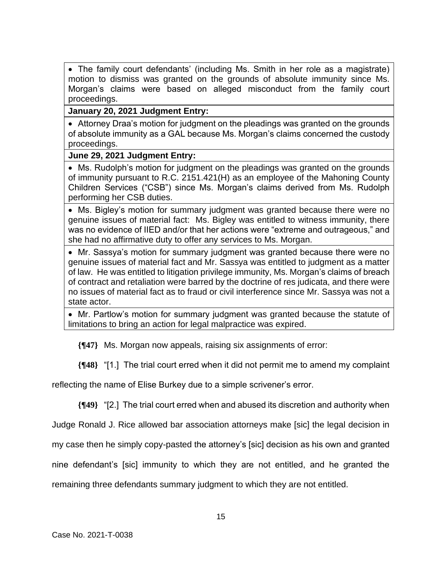• The family court defendants' (including Ms. Smith in her role as a magistrate) motion to dismiss was granted on the grounds of absolute immunity since Ms. Morgan's claims were based on alleged misconduct from the family court proceedings.

## **January 20, 2021 Judgment Entry:**

• Attorney Draa's motion for judgment on the pleadings was granted on the grounds of absolute immunity as a GAL because Ms. Morgan's claims concerned the custody proceedings.

## **June 29, 2021 Judgment Entry:**

• Ms. Rudolph's motion for judgment on the pleadings was granted on the grounds of immunity pursuant to R.C. 2151.421(H) as an employee of the Mahoning County Children Services ("CSB") since Ms. Morgan's claims derived from Ms. Rudolph performing her CSB duties.

• Ms. Bigley's motion for summary judgment was granted because there were no genuine issues of material fact: Ms. Bigley was entitled to witness immunity, there was no evidence of IIED and/or that her actions were "extreme and outrageous," and she had no affirmative duty to offer any services to Ms. Morgan.

• Mr. Sassya's motion for summary judgment was granted because there were no genuine issues of material fact and Mr. Sassya was entitled to judgment as a matter of law. He was entitled to litigation privilege immunity, Ms. Morgan's claims of breach of contract and retaliation were barred by the doctrine of res judicata, and there were no issues of material fact as to fraud or civil interference since Mr. Sassya was not a state actor.

• Mr. Partlow's motion for summary judgment was granted because the statute of limitations to bring an action for legal malpractice was expired.

**{¶47}** Ms. Morgan now appeals, raising six assignments of error:

**{¶48}** "[1.] The trial court erred when it did not permit me to amend my complaint

reflecting the name of Elise Burkey due to a simple scrivener's error.

**{¶49}** "[2.] The trial court erred when and abused its discretion and authority when

Judge Ronald J. Rice allowed bar association attorneys make [sic] the legal decision in

my case then he simply copy-pasted the attorney's [sic] decision as his own and granted

nine defendant's [sic] immunity to which they are not entitled, and he granted the

remaining three defendants summary judgment to which they are not entitled.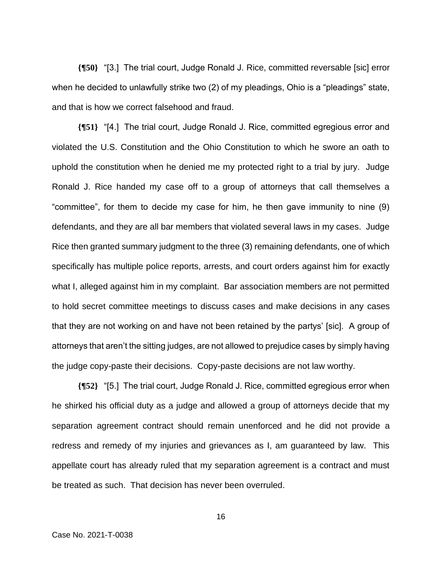**{¶50}** "[3.] The trial court, Judge Ronald J. Rice, committed reversable [sic] error when he decided to unlawfully strike two (2) of my pleadings, Ohio is a "pleadings" state, and that is how we correct falsehood and fraud.

**{¶51}** "[4.] The trial court, Judge Ronald J. Rice, committed egregious error and violated the U.S. Constitution and the Ohio Constitution to which he swore an oath to uphold the constitution when he denied me my protected right to a trial by jury. Judge Ronald J. Rice handed my case off to a group of attorneys that call themselves a "committee", for them to decide my case for him, he then gave immunity to nine (9) defendants, and they are all bar members that violated several laws in my cases. Judge Rice then granted summary judgment to the three (3) remaining defendants, one of which specifically has multiple police reports, arrests, and court orders against him for exactly what I, alleged against him in my complaint. Bar association members are not permitted to hold secret committee meetings to discuss cases and make decisions in any cases that they are not working on and have not been retained by the partys' [sic]. A group of attorneys that aren't the sitting judges, are not allowed to prejudice cases by simply having the judge copy-paste their decisions. Copy-paste decisions are not law worthy.

**{¶52}** "[5.] The trial court, Judge Ronald J. Rice, committed egregious error when he shirked his official duty as a judge and allowed a group of attorneys decide that my separation agreement contract should remain unenforced and he did not provide a redress and remedy of my injuries and grievances as I, am guaranteed by law. This appellate court has already ruled that my separation agreement is a contract and must be treated as such. That decision has never been overruled.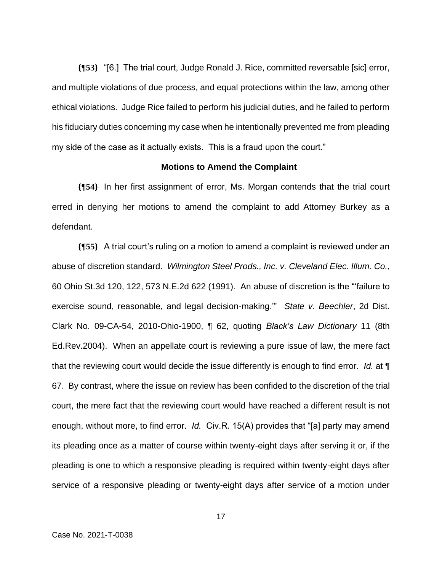**{¶53}** "[6.] The trial court, Judge Ronald J. Rice, committed reversable [sic] error, and multiple violations of due process, and equal protections within the law, among other ethical violations. Judge Rice failed to perform his judicial duties, and he failed to perform his fiduciary duties concerning my case when he intentionally prevented me from pleading my side of the case as it actually exists. This is a fraud upon the court."

#### **Motions to Amend the Complaint**

**{¶54}** In her first assignment of error, Ms. Morgan contends that the trial court erred in denying her motions to amend the complaint to add Attorney Burkey as a defendant.

**{¶55}** A trial court's ruling on a motion to amend a complaint is reviewed under an abuse of discretion standard. *Wilmington Steel Prods., Inc. v. Cleveland Elec. Illum. Co.*, 60 Ohio St.3d 120, 122, 573 N.E.2d 622 (1991). An abuse of discretion is the "'failure to exercise sound, reasonable, and legal decision-making.'" *State v. Beechler*, 2d Dist. Clark No. 09-CA-54, 2010-Ohio-1900, ¶ 62, quoting *Black's Law Dictionary* 11 (8th Ed.Rev.2004). When an appellate court is reviewing a pure issue of law, the mere fact that the reviewing court would decide the issue differently is enough to find error. *Id.* at ¶ 67. By contrast, where the issue on review has been confided to the discretion of the trial court, the mere fact that the reviewing court would have reached a different result is not enough, without more, to find error. *Id.* Civ.R. 15(A) provides that "[a] party may amend its pleading once as a matter of course within twenty-eight days after serving it or, if the pleading is one to which a responsive pleading is required within twenty-eight days after service of a responsive pleading or twenty-eight days after service of a motion under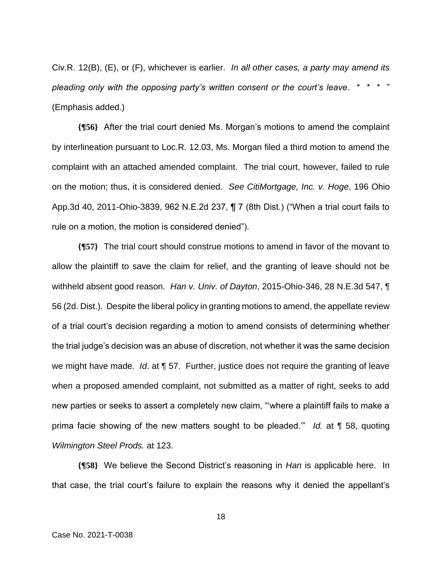Civ.R. 12(B), (E), or (F), whichever is earlier. *In all other cases, a party may amend its pleading only with the opposing party's written consent or the court's leave*. \* \* \* " (Emphasis added.)

**{¶56}** After the trial court denied Ms. Morgan's motions to amend the complaint by interlineation pursuant to Loc.R. 12.03, Ms. Morgan filed a third motion to amend the complaint with an attached amended complaint. The trial court, however, failed to rule on the motion; thus, it is considered denied. *See CitiMortgage, Inc. v. Hoge*, 196 Ohio App.3d 40, 2011-Ohio-3839, 962 N.E.2d 237, ¶ 7 (8th Dist.) ("When a trial court fails to rule on a motion, the motion is considered denied").

**{¶57}** The trial court should construe motions to amend in favor of the movant to allow the plaintiff to save the claim for relief, and the granting of leave should not be withheld absent good reason. *Han v. Univ. of Dayton*, 2015-Ohio-346, 28 N.E.3d 547, ¶ 56 (2d. Dist.). Despite the liberal policy in granting motions to amend, the appellate review of a trial court's decision regarding a motion to amend consists of determining whether the trial judge's decision was an abuse of discretion, not whether it was the same decision we might have made. *Id*. at ¶ 57. Further, justice does not require the granting of leave when a proposed amended complaint, not submitted as a matter of right, seeks to add new parties or seeks to assert a completely new claim, "'where a plaintiff fails to make a prima facie showing of the new matters sought to be pleaded.'" *Id.* at ¶ 58, quoting *Wilmington Steel Prods.* at 123.

**{¶58}** We believe the Second District's reasoning in *Han* is applicable here. In that case, the trial court's failure to explain the reasons why it denied the appellant's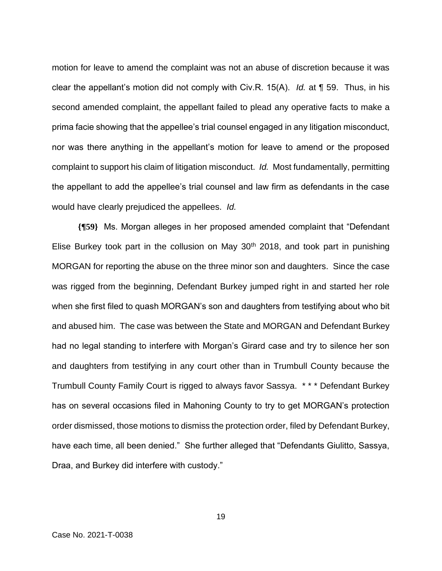motion for leave to amend the complaint was not an abuse of discretion because it was clear the appellant's motion did not comply with Civ.R. 15(A). *Id.* at ¶ 59. Thus, in his second amended complaint, the appellant failed to plead any operative facts to make a prima facie showing that the appellee's trial counsel engaged in any litigation misconduct, nor was there anything in the appellant's motion for leave to amend or the proposed complaint to support his claim of litigation misconduct. *Id.* Most fundamentally, permitting the appellant to add the appellee's trial counsel and law firm as defendants in the case would have clearly prejudiced the appellees. *Id.* 

**{¶59}** Ms. Morgan alleges in her proposed amended complaint that "Defendant Elise Burkey took part in the collusion on May  $30<sup>th</sup>$  2018, and took part in punishing MORGAN for reporting the abuse on the three minor son and daughters. Since the case was rigged from the beginning, Defendant Burkey jumped right in and started her role when she first filed to quash MORGAN's son and daughters from testifying about who bit and abused him. The case was between the State and MORGAN and Defendant Burkey had no legal standing to interfere with Morgan's Girard case and try to silence her son and daughters from testifying in any court other than in Trumbull County because the Trumbull County Family Court is rigged to always favor Sassya. \* \* \* Defendant Burkey has on several occasions filed in Mahoning County to try to get MORGAN's protection order dismissed, those motions to dismiss the protection order, filed by Defendant Burkey, have each time, all been denied." She further alleged that "Defendants Giulitto, Sassya, Draa, and Burkey did interfere with custody."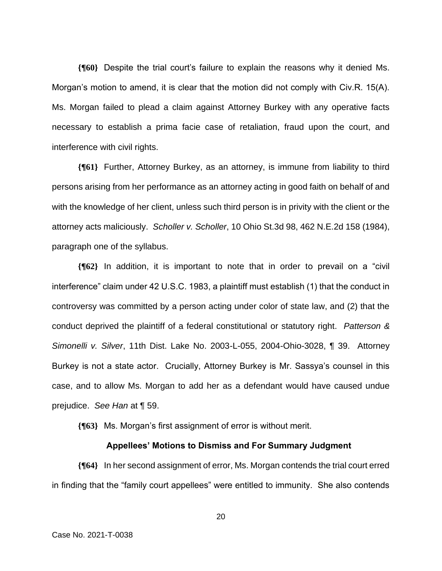**{¶60}** Despite the trial court's failure to explain the reasons why it denied Ms. Morgan's motion to amend, it is clear that the motion did not comply with Civ.R. 15(A). Ms. Morgan failed to plead a claim against Attorney Burkey with any operative facts necessary to establish a prima facie case of retaliation, fraud upon the court, and interference with civil rights.

**{¶61}** Further, Attorney Burkey, as an attorney, is immune from liability to third persons arising from her performance as an attorney acting in good faith on behalf of and with the knowledge of her client, unless such third person is in privity with the client or the attorney acts maliciously. *Scholler v. Scholler*, 10 Ohio St.3d 98, 462 N.E.2d 158 (1984), paragraph one of the syllabus.

**{¶62}** In addition, it is important to note that in order to prevail on a "civil interference" claim under 42 U.S.C. 1983, a plaintiff must establish (1) that the conduct in controversy was committed by a person acting under color of state law, and (2) that the conduct deprived the plaintiff of a federal constitutional or statutory right. *Patterson & Simonelli v. Silver*, 11th Dist. Lake No. 2003-L-055, 2004-Ohio-3028, ¶ 39. Attorney Burkey is not a state actor. Crucially, Attorney Burkey is Mr. Sassya's counsel in this case, and to allow Ms. Morgan to add her as a defendant would have caused undue prejudice. *See Han* at ¶ 59.

**{¶63}** Ms. Morgan's first assignment of error is without merit.

#### **Appellees' Motions to Dismiss and For Summary Judgment**

**{¶64}** In her second assignment of error, Ms. Morgan contends the trial court erred in finding that the "family court appellees" were entitled to immunity. She also contends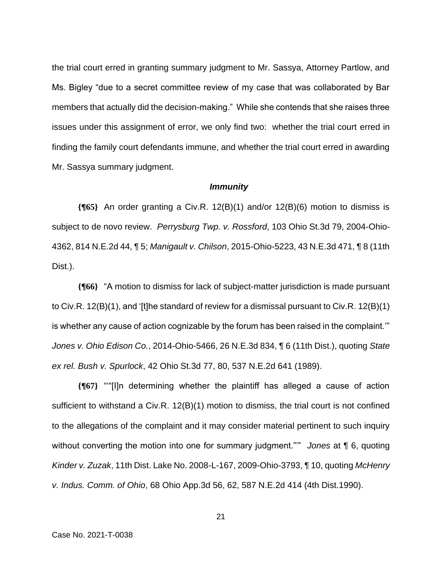the trial court erred in granting summary judgment to Mr. Sassya, Attorney Partlow, and Ms. Bigley "due to a secret committee review of my case that was collaborated by Bar members that actually did the decision-making." While she contends that she raises three issues under this assignment of error, we only find two: whether the trial court erred in finding the family court defendants immune, and whether the trial court erred in awarding Mr. Sassya summary judgment.

#### *Immunity*

**{¶65}** An order granting a Civ.R. 12(B)(1) and/or 12(B)(6) motion to dismiss is subject to de novo review. *Perrysburg Twp. v. Rossford*, 103 Ohio St.3d 79, 2004-Ohio-4362, 814 N.E.2d 44, ¶ 5; *Manigault v. Chilson*, 2015-Ohio-5223, 43 N.E.3d 471, ¶ 8 (11th Dist.).

**{¶66}** "A motion to dismiss for lack of subject-matter jurisdiction is made pursuant to Civ.R. 12(B)(1), and '[t]he standard of review for a dismissal pursuant to Civ.R. 12(B)(1) is whether any cause of action cognizable by the forum has been raised in the complaint.'" *Jones v. Ohio Edison Co.*, 2014-Ohio-5466, 26 N.E.3d 834, ¶ 6 (11th Dist.), quoting *State ex rel. Bush v. Spurlock*, 42 Ohio St.3d 77, 80, 537 N.E.2d 641 (1989).

**{¶67}** "'"[I]n determining whether the plaintiff has alleged a cause of action sufficient to withstand a Civ.R. 12(B)(1) motion to dismiss, the trial court is not confined to the allegations of the complaint and it may consider material pertinent to such inquiry without converting the motion into one for summary judgment."'" *Jones* at ¶ 6, quoting *Kinder v. Zuzak*, 11th Dist. Lake No. 2008-L-167, 2009-Ohio-3793, ¶ 10, quoting *McHenry v. Indus. Comm. of Ohio*, 68 Ohio App.3d 56, 62, 587 N.E.2d 414 (4th Dist.1990).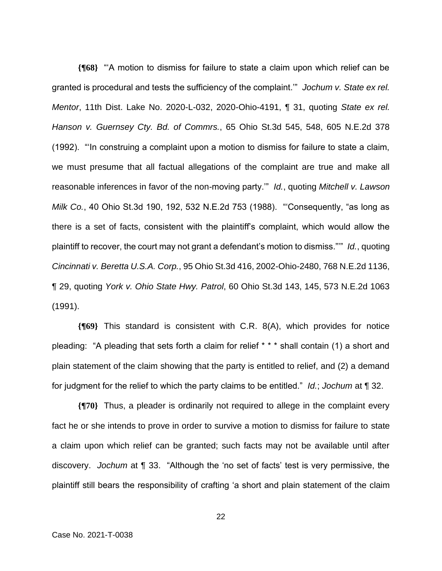**{¶68}** "'A motion to dismiss for failure to state a claim upon which relief can be granted is procedural and tests the sufficiency of the complaint.'" *Jochum v. State ex rel. Mentor*, 11th Dist. Lake No. 2020-L-032, 2020-Ohio-4191, ¶ 31, quoting *State ex rel. Hanson v. Guernsey Cty. Bd. of Commrs.*, 65 Ohio St.3d 545, 548, 605 N.E.2d 378 (1992). "'In construing a complaint upon a motion to dismiss for failure to state a claim, we must presume that all factual allegations of the complaint are true and make all reasonable inferences in favor of the non-moving party.'" *Id.*, quoting *Mitchell v. Lawson Milk Co.*, 40 Ohio St.3d 190, 192, 532 N.E.2d 753 (1988). "'Consequently, "as long as there is a set of facts, consistent with the plaintiff's complaint, which would allow the plaintiff to recover, the court may not grant a defendant's motion to dismiss."'" *Id.*, quoting *Cincinnati v. Beretta U.S.A. Corp.*, 95 Ohio St.3d 416, 2002-Ohio-2480, 768 N.E.2d 1136, ¶ 29, quoting *York v. Ohio State Hwy. Patrol*, 60 Ohio St.3d 143, 145, 573 N.E.2d 1063 (1991).

**{¶69}** This standard is consistent with C.R. 8(A), which provides for notice pleading: "A pleading that sets forth a claim for relief \* \* \* shall contain (1) a short and plain statement of the claim showing that the party is entitled to relief, and (2) a demand for judgment for the relief to which the party claims to be entitled." *Id.*; *Jochum* at ¶ 32.

**{¶70}** Thus, a pleader is ordinarily not required to allege in the complaint every fact he or she intends to prove in order to survive a motion to dismiss for failure to state a claim upon which relief can be granted; such facts may not be available until after discovery. *Jochum* at ¶ 33. "Although the 'no set of facts' test is very permissive, the plaintiff still bears the responsibility of crafting 'a short and plain statement of the claim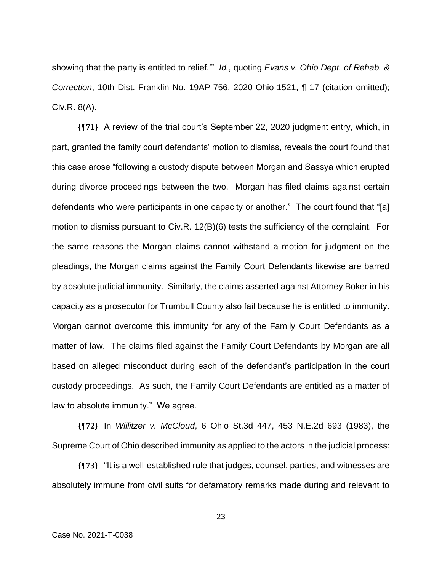showing that the party is entitled to relief*.*'" *Id.*, quoting *Evans v. Ohio Dept. of Rehab. & Correction*, 10th Dist. Franklin No. 19AP-756, 2020-Ohio-1521, ¶ 17 (citation omitted); Civ.R. 8(A).

**{¶71}** A review of the trial court's September 22, 2020 judgment entry, which, in part, granted the family court defendants' motion to dismiss, reveals the court found that this case arose "following a custody dispute between Morgan and Sassya which erupted during divorce proceedings between the two. Morgan has filed claims against certain defendants who were participants in one capacity or another." The court found that "[a] motion to dismiss pursuant to Civ.R. 12(B)(6) tests the sufficiency of the complaint. For the same reasons the Morgan claims cannot withstand a motion for judgment on the pleadings, the Morgan claims against the Family Court Defendants likewise are barred by absolute judicial immunity. Similarly, the claims asserted against Attorney Boker in his capacity as a prosecutor for Trumbull County also fail because he is entitled to immunity. Morgan cannot overcome this immunity for any of the Family Court Defendants as a matter of law. The claims filed against the Family Court Defendants by Morgan are all based on alleged misconduct during each of the defendant's participation in the court custody proceedings. As such, the Family Court Defendants are entitled as a matter of law to absolute immunity." We agree.

**{¶72}** In *Willitzer v. McCloud*, 6 Ohio St.3d 447, 453 N.E.2d 693 (1983), the Supreme Court of Ohio described immunity as applied to the actors in the judicial process:

**{¶73}** "It is a well-established rule that judges, counsel, parties, and witnesses are absolutely immune from civil suits for defamatory remarks made during and relevant to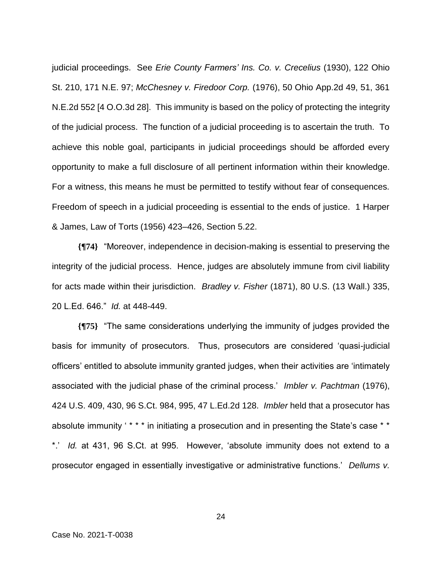judicial proceedings. See *Erie County Farmers' Ins. Co. v. Crecelius* (1930), 122 Ohio St. 210, 171 N.E. 97; *McChesney v. Firedoor Corp.* (1976), 50 Ohio App.2d 49, 51, 361 N.E.2d 552 [4 O.O.3d 28]. This immunity is based on the policy of protecting the integrity of the judicial process. The function of a judicial proceeding is to ascertain the truth. To achieve this noble goal, participants in judicial proceedings should be afforded every opportunity to make a full disclosure of all pertinent information within their knowledge. For a witness, this means he must be permitted to testify without fear of consequences. Freedom of speech in a judicial proceeding is essential to the ends of justice. 1 Harper & James, Law of Torts (1956) 423–426, Section 5.22.

**{¶74}** "Moreover, independence in decision-making is essential to preserving the integrity of the judicial process. Hence, judges are absolutely immune from civil liability for acts made within their jurisdiction. *Bradley v. Fisher* (1871), 80 U.S. (13 Wall.) 335, 20 L.Ed. 646." *Id.* at 448-449.

**{¶75}** "The same considerations underlying the immunity of judges provided the basis for immunity of prosecutors. Thus, prosecutors are considered 'quasi-judicial officers' entitled to absolute immunity granted judges, when their activities are 'intimately associated with the judicial phase of the criminal process.' *Imbler v. Pachtman* (1976), 424 U.S. 409, 430, 96 S.Ct. 984, 995, 47 L.Ed.2d 128. *Imbler* held that a prosecutor has absolute immunity ' \* \* \* in initiating a prosecution and in presenting the State's case \* \* \*.' *Id.* at 431, 96 S.Ct. at 995. However, 'absolute immunity does not extend to a prosecutor engaged in essentially investigative or administrative functions.' *Dellums v.*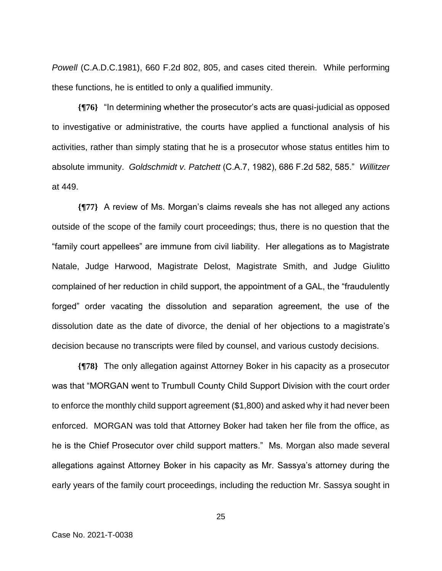*Powell* (C.A.D.C.1981), 660 F.2d 802, 805, and cases cited therein. While performing these functions, he is entitled to only a qualified immunity.

**{¶76}** "In determining whether the prosecutor's acts are quasi-judicial as opposed to investigative or administrative, the courts have applied a functional analysis of his activities, rather than simply stating that he is a prosecutor whose status entitles him to absolute immunity. *Goldschmidt v. Patchett* (C.A.7, 1982), 686 F.2d 582, 585." *Willitzer* at 449.

**{¶77}** A review of Ms. Morgan's claims reveals she has not alleged any actions outside of the scope of the family court proceedings; thus, there is no question that the "family court appellees" are immune from civil liability. Her allegations as to Magistrate Natale, Judge Harwood, Magistrate Delost, Magistrate Smith, and Judge Giulitto complained of her reduction in child support, the appointment of a GAL, the "fraudulently forged" order vacating the dissolution and separation agreement, the use of the dissolution date as the date of divorce, the denial of her objections to a magistrate's decision because no transcripts were filed by counsel, and various custody decisions.

**{¶78}** The only allegation against Attorney Boker in his capacity as a prosecutor was that "MORGAN went to Trumbull County Child Support Division with the court order to enforce the monthly child support agreement (\$1,800) and asked why it had never been enforced. MORGAN was told that Attorney Boker had taken her file from the office, as he is the Chief Prosecutor over child support matters." Ms. Morgan also made several allegations against Attorney Boker in his capacity as Mr. Sassya's attorney during the early years of the family court proceedings, including the reduction Mr. Sassya sought in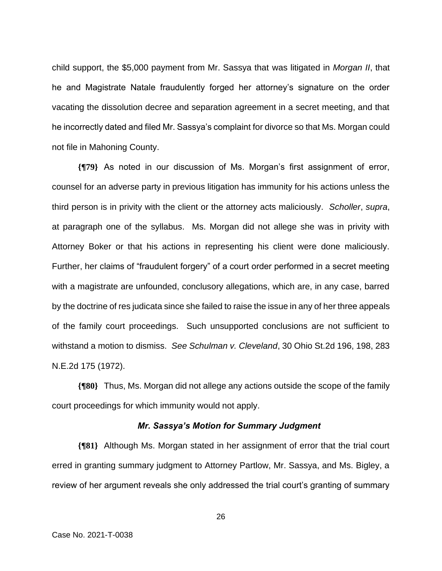child support, the \$5,000 payment from Mr. Sassya that was litigated in *Morgan II*, that he and Magistrate Natale fraudulently forged her attorney's signature on the order vacating the dissolution decree and separation agreement in a secret meeting, and that he incorrectly dated and filed Mr. Sassya's complaint for divorce so that Ms. Morgan could not file in Mahoning County.

**{¶79}** As noted in our discussion of Ms. Morgan's first assignment of error, counsel for an adverse party in previous litigation has immunity for his actions unless the third person is in privity with the client or the attorney acts maliciously. *Scholler*, *supra*, at paragraph one of the syllabus. Ms. Morgan did not allege she was in privity with Attorney Boker or that his actions in representing his client were done maliciously. Further, her claims of "fraudulent forgery" of a court order performed in a secret meeting with a magistrate are unfounded, conclusory allegations, which are, in any case, barred by the doctrine of res judicata since she failed to raise the issue in any of her three appeals of the family court proceedings. Such unsupported conclusions are not sufficient to withstand a motion to dismiss. *See Schulman v. Cleveland*, 30 Ohio St.2d 196, 198, 283 N.E.2d 175 (1972).

**{¶80}** Thus, Ms. Morgan did not allege any actions outside the scope of the family court proceedings for which immunity would not apply.

## *Mr. Sassya's Motion for Summary Judgment*

**{¶81}** Although Ms. Morgan stated in her assignment of error that the trial court erred in granting summary judgment to Attorney Partlow, Mr. Sassya, and Ms. Bigley, a review of her argument reveals she only addressed the trial court's granting of summary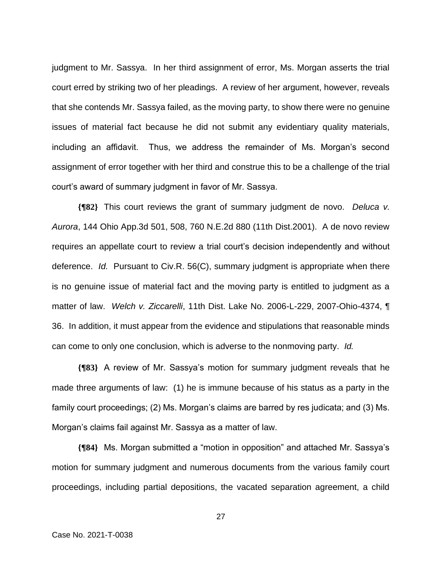judgment to Mr. Sassya. In her third assignment of error, Ms. Morgan asserts the trial court erred by striking two of her pleadings. A review of her argument, however, reveals that she contends Mr. Sassya failed, as the moving party, to show there were no genuine issues of material fact because he did not submit any evidentiary quality materials, including an affidavit. Thus, we address the remainder of Ms. Morgan's second assignment of error together with her third and construe this to be a challenge of the trial court's award of summary judgment in favor of Mr. Sassya.

**{¶82}** This court reviews the grant of summary judgment de novo. *Deluca v. Aurora*, 144 Ohio App.3d 501, 508, 760 N.E.2d 880 (11th Dist.2001). A de novo review requires an appellate court to review a trial court's decision independently and without deference. *Id.* Pursuant to Civ.R. 56(C), summary judgment is appropriate when there is no genuine issue of material fact and the moving party is entitled to judgment as a matter of law. *Welch v. Ziccarelli*, 11th Dist. Lake No. 2006-L-229, 2007-Ohio-4374, ¶ 36. In addition, it must appear from the evidence and stipulations that reasonable minds can come to only one conclusion, which is adverse to the nonmoving party. *Id.*

**{¶83}** A review of Mr. Sassya's motion for summary judgment reveals that he made three arguments of law: (1) he is immune because of his status as a party in the family court proceedings; (2) Ms. Morgan's claims are barred by res judicata; and (3) Ms. Morgan's claims fail against Mr. Sassya as a matter of law.

**{¶84}** Ms. Morgan submitted a "motion in opposition" and attached Mr. Sassya's motion for summary judgment and numerous documents from the various family court proceedings, including partial depositions, the vacated separation agreement, a child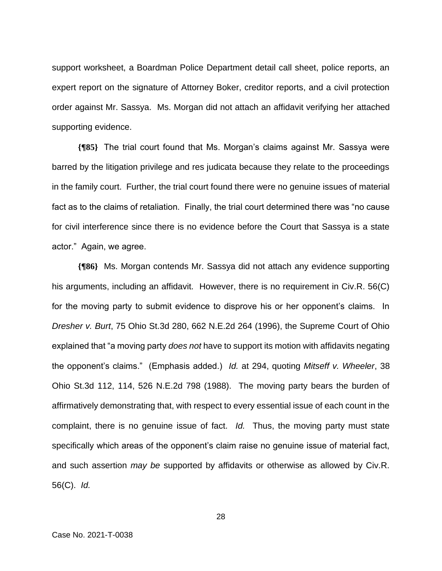support worksheet, a Boardman Police Department detail call sheet, police reports, an expert report on the signature of Attorney Boker, creditor reports, and a civil protection order against Mr. Sassya. Ms. Morgan did not attach an affidavit verifying her attached supporting evidence.

**{¶85}** The trial court found that Ms. Morgan's claims against Mr. Sassya were barred by the litigation privilege and res judicata because they relate to the proceedings in the family court. Further, the trial court found there were no genuine issues of material fact as to the claims of retaliation. Finally, the trial court determined there was "no cause for civil interference since there is no evidence before the Court that Sassya is a state actor." Again, we agree.

**{¶86}** Ms. Morgan contends Mr. Sassya did not attach any evidence supporting his arguments, including an affidavit. However, there is no requirement in Civ.R. 56(C) for the moving party to submit evidence to disprove his or her opponent's claims. In *Dresher v. Burt*, 75 Ohio St.3d 280, 662 N.E.2d 264 (1996), the Supreme Court of Ohio explained that "a moving party *does not* have to support its motion with affidavits negating the opponent's claims." (Emphasis added.) *Id.* at 294, quoting *Mitseff v. Wheeler*, 38 Ohio St.3d 112, 114, 526 N.E.2d 798 (1988). The moving party bears the burden of affirmatively demonstrating that, with respect to every essential issue of each count in the complaint, there is no genuine issue of fact. *Id.* Thus, the moving party must state specifically which areas of the opponent's claim raise no genuine issue of material fact, and such assertion *may be* supported by affidavits or otherwise as allowed by Civ.R. 56(C). *Id.*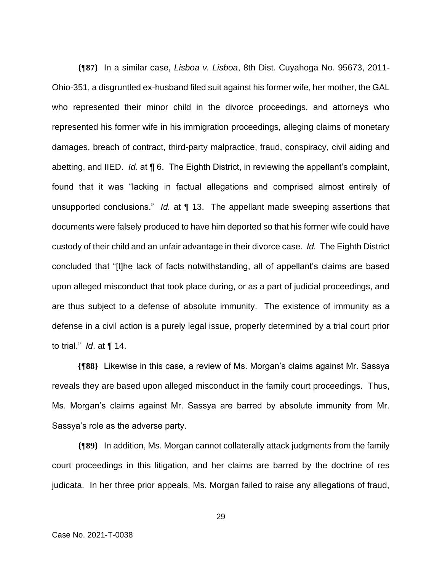**{¶87}** In a similar case, *Lisboa v. Lisboa*, 8th Dist. Cuyahoga No. 95673, 2011- Ohio-351, a disgruntled ex-husband filed suit against his former wife, her mother, the GAL who represented their minor child in the divorce proceedings, and attorneys who represented his former wife in his immigration proceedings, alleging claims of monetary damages, breach of contract, third-party malpractice, fraud, conspiracy, civil aiding and abetting, and IIED. *Id.* at ¶ 6. The Eighth District, in reviewing the appellant's complaint, found that it was "lacking in factual allegations and comprised almost entirely of unsupported conclusions." *Id.* at ¶ 13. The appellant made sweeping assertions that documents were falsely produced to have him deported so that his former wife could have custody of their child and an unfair advantage in their divorce case. *Id.* The Eighth District concluded that "[t]he lack of facts notwithstanding, all of appellant's claims are based upon alleged misconduct that took place during, or as a part of judicial proceedings, and are thus subject to a defense of absolute immunity. The existence of immunity as a defense in a civil action is a purely legal issue, properly determined by a trial court prior to trial." *Id*. at ¶ 14.

**{¶88}** Likewise in this case, a review of Ms. Morgan's claims against Mr. Sassya reveals they are based upon alleged misconduct in the family court proceedings. Thus, Ms. Morgan's claims against Mr. Sassya are barred by absolute immunity from Mr. Sassya's role as the adverse party.

**{¶89}** In addition, Ms. Morgan cannot collaterally attack judgments from the family court proceedings in this litigation, and her claims are barred by the doctrine of res judicata. In her three prior appeals, Ms. Morgan failed to raise any allegations of fraud,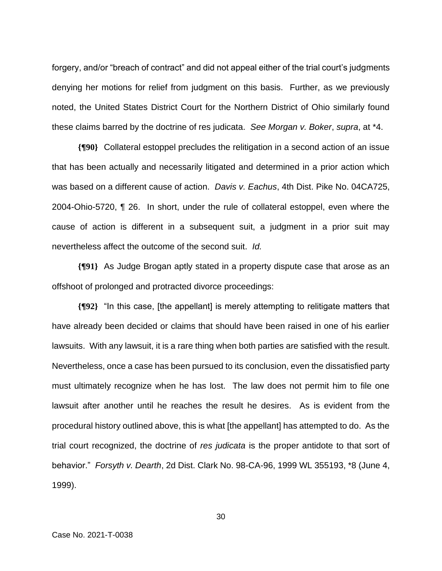forgery, and/or "breach of contract" and did not appeal either of the trial court's judgments denying her motions for relief from judgment on this basis. Further, as we previously noted, the United States District Court for the Northern District of Ohio similarly found these claims barred by the doctrine of res judicata. *See Morgan v. Boker*, *supra*, at \*4.

**{¶90}** Collateral estoppel precludes the relitigation in a second action of an issue that has been actually and necessarily litigated and determined in a prior action which was based on a different cause of action. *Davis v. Eachus*, 4th Dist. Pike No. 04CA725, 2004-Ohio-5720, ¶ 26. In short, under the rule of collateral estoppel, even where the cause of action is different in a subsequent suit, a judgment in a prior suit may nevertheless affect the outcome of the second suit. *Id.*

**{¶91}** As Judge Brogan aptly stated in a property dispute case that arose as an offshoot of prolonged and protracted divorce proceedings:

**{¶92}** "In this case, [the appellant] is merely attempting to relitigate matters that have already been decided or claims that should have been raised in one of his earlier lawsuits. With any lawsuit, it is a rare thing when both parties are satisfied with the result. Nevertheless, once a case has been pursued to its conclusion, even the dissatisfied party must ultimately recognize when he has lost. The law does not permit him to file one lawsuit after another until he reaches the result he desires. As is evident from the procedural history outlined above, this is what [the appellant] has attempted to do. As the trial court recognized, the doctrine of *res judicata* is the proper antidote to that sort of behavior." *Forsyth v. Dearth*, 2d Dist. Clark No. 98-CA-96, 1999 WL 355193, \*8 (June 4, 1999).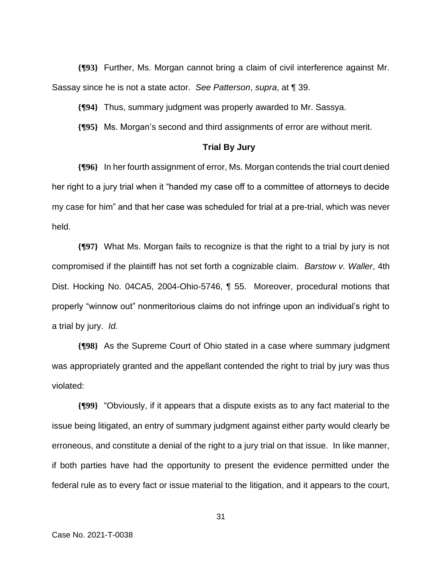**{¶93}** Further, Ms. Morgan cannot bring a claim of civil interference against Mr. Sassay since he is not a state actor. *See Patterson*, *supra*, at ¶ 39.

**{¶94}** Thus, summary judgment was properly awarded to Mr. Sassya.

**{¶95}** Ms. Morgan's second and third assignments of error are without merit.

#### **Trial By Jury**

**{¶96}** In her fourth assignment of error, Ms. Morgan contends the trial court denied her right to a jury trial when it "handed my case off to a committee of attorneys to decide my case for him" and that her case was scheduled for trial at a pre-trial, which was never held.

**{¶97}** What Ms. Morgan fails to recognize is that the right to a trial by jury is not compromised if the plaintiff has not set forth a cognizable claim. *Barstow v. Waller*, 4th Dist. Hocking No. 04CA5, 2004-Ohio-5746, ¶ 55. Moreover, procedural motions that properly "winnow out" nonmeritorious claims do not infringe upon an individual's right to a trial by jury. *Id.*

**{¶98}** As the Supreme Court of Ohio stated in a case where summary judgment was appropriately granted and the appellant contended the right to trial by jury was thus violated:

**{¶99}** "Obviously, if it appears that a dispute exists as to any fact material to the issue being litigated, an entry of summary judgment against either party would clearly be erroneous, and constitute a denial of the right to a jury trial on that issue. In like manner, if both parties have had the opportunity to present the evidence permitted under the federal rule as to every fact or issue material to the litigation, and it appears to the court,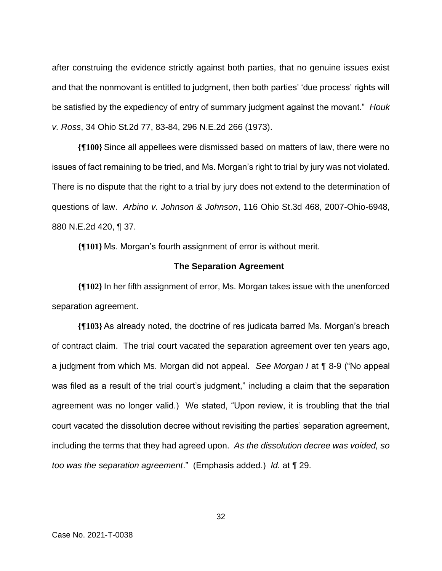after construing the evidence strictly against both parties, that no genuine issues exist and that the nonmovant is entitled to judgment, then both parties' 'due process' rights will be satisfied by the expediency of entry of summary judgment against the movant." *Houk v. Ross*, 34 Ohio St.2d 77, 83-84, 296 N.E.2d 266 (1973).

**{¶100}** Since all appellees were dismissed based on matters of law, there were no issues of fact remaining to be tried, and Ms. Morgan's right to trial by jury was not violated. There is no dispute that the right to a trial by jury does not extend to the determination of questions of law. *Arbino v. Johnson & Johnson*, 116 Ohio St.3d 468, 2007-Ohio-6948, 880 N.E.2d 420, ¶ 37.

**{¶101}** Ms. Morgan's fourth assignment of error is without merit.

#### **The Separation Agreement**

**{¶102}**In her fifth assignment of error, Ms. Morgan takes issue with the unenforced separation agreement.

**{¶103}** As already noted, the doctrine of res judicata barred Ms. Morgan's breach of contract claim. The trial court vacated the separation agreement over ten years ago, a judgment from which Ms. Morgan did not appeal. *See Morgan I* at ¶ 8-9 ("No appeal was filed as a result of the trial court's judgment," including a claim that the separation agreement was no longer valid.) We stated, "Upon review, it is troubling that the trial court vacated the dissolution decree without revisiting the parties' separation agreement, including the terms that they had agreed upon. *As the dissolution decree was voided, so too was the separation agreement*." (Emphasis added.) *Id.* at ¶ 29.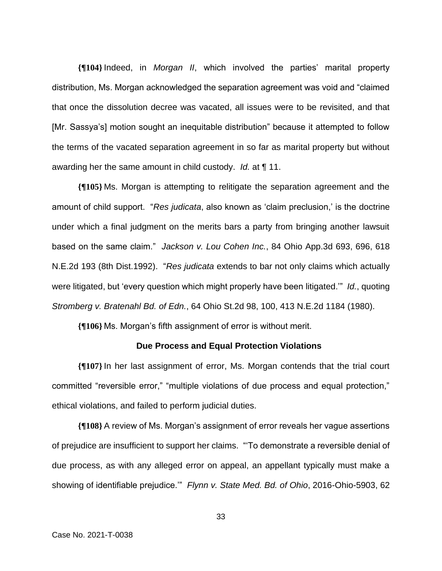**{¶104}**Indeed, in *Morgan II*, which involved the parties' marital property distribution, Ms. Morgan acknowledged the separation agreement was void and "claimed that once the dissolution decree was vacated, all issues were to be revisited, and that [Mr. Sassya's] motion sought an inequitable distribution" because it attempted to follow the terms of the vacated separation agreement in so far as marital property but without awarding her the same amount in child custody. *Id.* at ¶ 11.

**{¶105}** Ms. Morgan is attempting to relitigate the separation agreement and the amount of child support. "*Res judicata*, also known as 'claim preclusion,' is the doctrine under which a final judgment on the merits bars a party from bringing another lawsuit based on the same claim." *Jackson v. Lou Cohen Inc.*, 84 Ohio App.3d 693, 696, 618 N.E.2d 193 (8th Dist.1992). "*Res judicata* extends to bar not only claims which actually were litigated, but 'every question which might properly have been litigated.'" *Id.*, quoting *Stromberg v. Bratenahl Bd. of Edn.*, 64 Ohio St.2d 98, 100, 413 N.E.2d 1184 (1980).

**{¶106}** Ms. Morgan's fifth assignment of error is without merit.

## **Due Process and Equal Protection Violations**

**{¶107}**In her last assignment of error, Ms. Morgan contends that the trial court committed "reversible error," "multiple violations of due process and equal protection," ethical violations, and failed to perform judicial duties.

**{¶108}** A review of Ms. Morgan's assignment of error reveals her vague assertions of prejudice are insufficient to support her claims. "'To demonstrate a reversible denial of due process, as with any alleged error on appeal, an appellant typically must make a showing of identifiable prejudice.'" *Flynn v. State Med. Bd. of Ohio*, 2016-Ohio-5903, 62